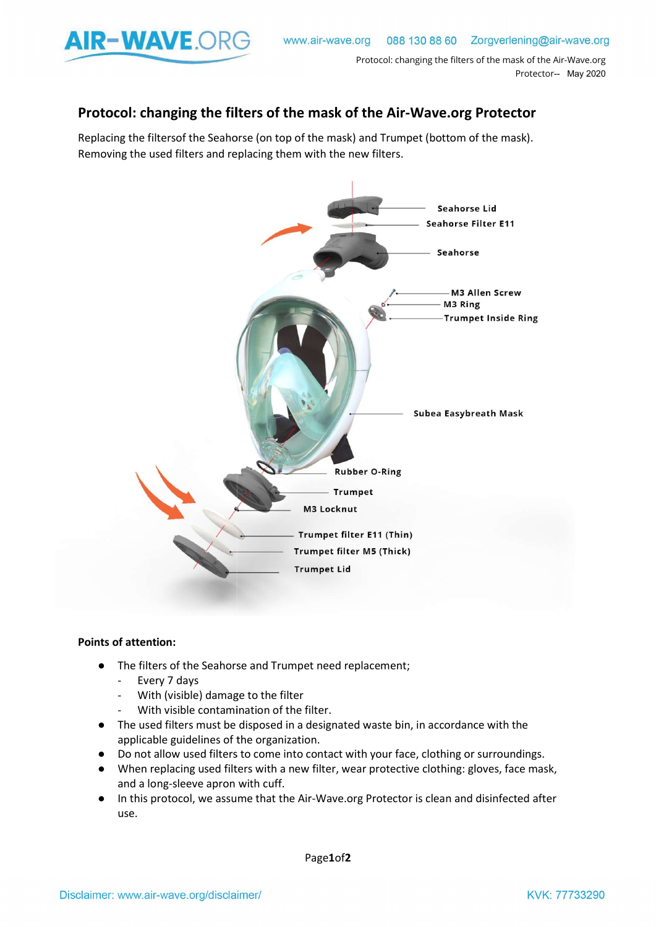

## Protocol: changing the filters of the mask of the Air-Wave.org Protector

Replacing the filtersof the Seahorse (on top of the mask) and Trumpet (bottom of the mask). Removing the used filters and replacing them with the new filters.



## Points of attention:

- The filters of the Seahorse and Trumpet need replacement;
	- Every 7 days
	- With (visible) damage to the filter
	- With visible contamination of the filter.
- The used filters must be disposed in a designated waste bin, in accordance with the applicable guidelines of the organization.
- Do not allow used filters to come into contact with your face, clothing or surroundings.
- When replacing used filters with a new filter, wear protective clothing: gloves, face mask, and a long-sleeve apron with cuff. and a long-sleeve apron with cuff.
- In this protocol, we assume that the Air-Wave.org Protector is clean and disinfected after use.

Page1of2